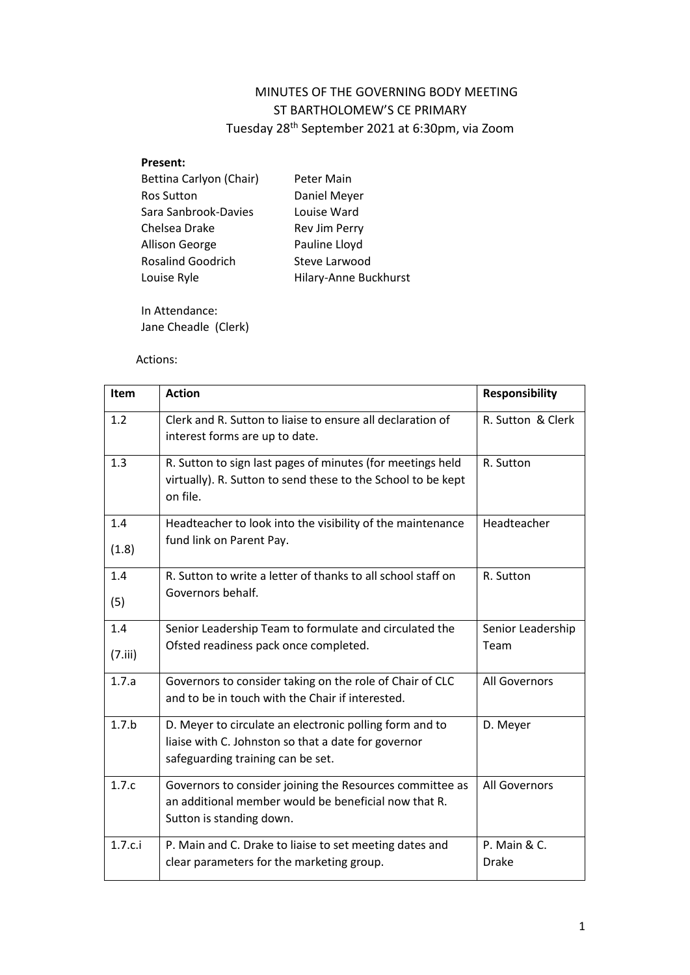# MINUTES OF THE GOVERNING BODY MEETING ST BARTHOLOMEW'S CE PRIMARY Tuesday 28th September 2021 at 6:30pm, via Zoom

#### **Present:**

| Bettina Carlyon (Chair)  | Peter Main            |
|--------------------------|-----------------------|
| <b>Ros Sutton</b>        | Daniel Meyer          |
| Sara Sanbrook-Davies     | Louise Ward           |
| Chelsea Drake            | Rev Jim Perry         |
| Allison George           | Pauline Lloyd         |
| <b>Rosalind Goodrich</b> | Steve Larwood         |
| Louise Ryle              | Hilary-Anne Buckhurst |
|                          |                       |

In Attendance: Jane Cheadle (Clerk)

## Actions:

| Item           | <b>Action</b>                                                                                                                                       | <b>Responsibility</b>        |
|----------------|-----------------------------------------------------------------------------------------------------------------------------------------------------|------------------------------|
| 1.2            | Clerk and R. Sutton to liaise to ensure all declaration of<br>interest forms are up to date.                                                        | R. Sutton & Clerk            |
| 1.3            | R. Sutton to sign last pages of minutes (for meetings held<br>virtually). R. Sutton to send these to the School to be kept<br>on file.              | R. Sutton                    |
| 1.4<br>(1.8)   | Headteacher to look into the visibility of the maintenance<br>fund link on Parent Pay.                                                              | Headteacher                  |
| 1.4<br>(5)     | R. Sutton to write a letter of thanks to all school staff on<br>Governors behalf.                                                                   | R. Sutton                    |
| 1.4<br>(7.iii) | Senior Leadership Team to formulate and circulated the<br>Ofsted readiness pack once completed.                                                     | Senior Leadership<br>Team    |
| 1.7.a          | Governors to consider taking on the role of Chair of CLC<br>and to be in touch with the Chair if interested.                                        | All Governors                |
| 1.7.b          | D. Meyer to circulate an electronic polling form and to<br>liaise with C. Johnston so that a date for governor<br>safeguarding training can be set. | D. Meyer                     |
| 1.7.c          | Governors to consider joining the Resources committee as<br>an additional member would be beneficial now that R.<br>Sutton is standing down.        | All Governors                |
| 1.7.c.i        | P. Main and C. Drake to liaise to set meeting dates and<br>clear parameters for the marketing group.                                                | P. Main & C.<br><b>Drake</b> |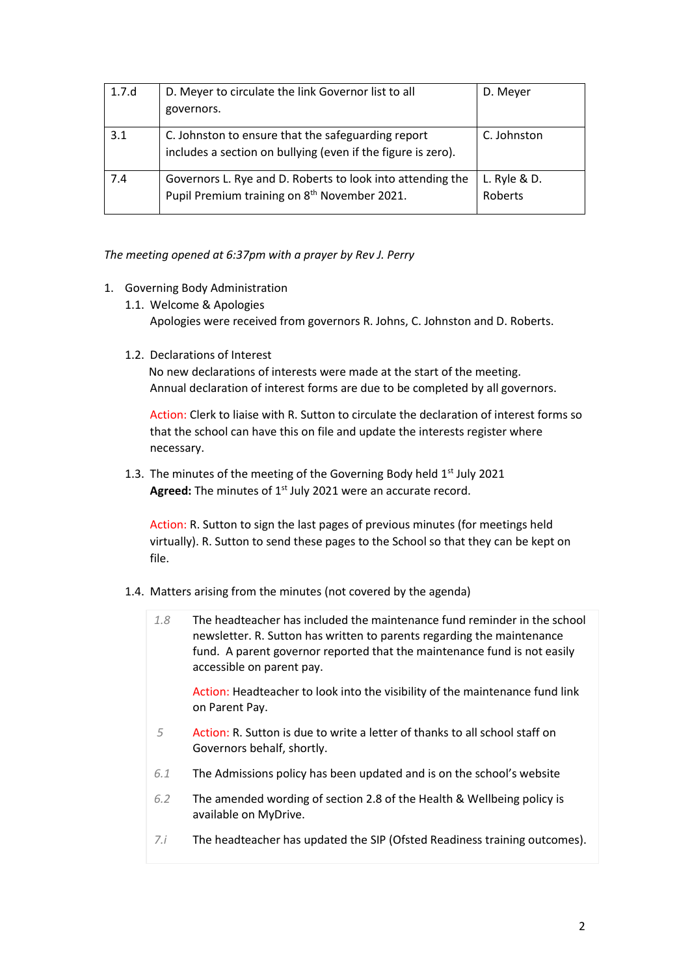| 1.7.d | D. Meyer to circulate the link Governor list to all                                                                    | D. Meyer                  |
|-------|------------------------------------------------------------------------------------------------------------------------|---------------------------|
|       | governors.                                                                                                             |                           |
| 3.1   | C. Johnston to ensure that the safeguarding report<br>includes a section on bullying (even if the figure is zero).     | C. Johnston               |
| 7.4   | Governors L. Rye and D. Roberts to look into attending the<br>Pupil Premium training on 8 <sup>th</sup> November 2021. | L. Ryle $& D.$<br>Roberts |

*The meeting opened at 6:37pm with a prayer by Rev J. Perry*

- 1. Governing Body Administration
	- 1.1. Welcome & Apologies Apologies were received from governors R. Johns, C. Johnston and D. Roberts.
	- 1.2. Declarations of Interest

No new declarations of interests were made at the start of the meeting. Annual declaration of interest forms are due to be completed by all governors.

Action: Clerk to liaise with R. Sutton to circulate the declaration of interest forms so that the school can have this on file and update the interests register where necessary.

1.3. The minutes of the meeting of the Governing Body held  $1<sup>st</sup>$  July 2021 Agreed: The minutes of 1<sup>st</sup> July 2021 were an accurate record.

Action: R. Sutton to sign the last pages of previous minutes (for meetings held virtually). R. Sutton to send these pages to the School so that they can be kept on file.

- 1.4. Matters arising from the minutes (not covered by the agenda)
	- *1.8* The headteacher has included the maintenance fund reminder in the school newsletter. R. Sutton has written to parents regarding the maintenance fund. A parent governor reported that the maintenance fund is not easily accessible on parent pay.

Action: Headteacher to look into the visibility of the maintenance fund link on Parent Pay.

- *5* Action: R. Sutton is due to write a letter of thanks to all school staff on Governors behalf, shortly.
- *6.1* The Admissions policy has been updated and is on the school's website
- *6.2* The amended wording of section 2.8 of the Health & Wellbeing policy is available on MyDrive.
- *7.i* The headteacher has updated the SIP (Ofsted Readiness training outcomes).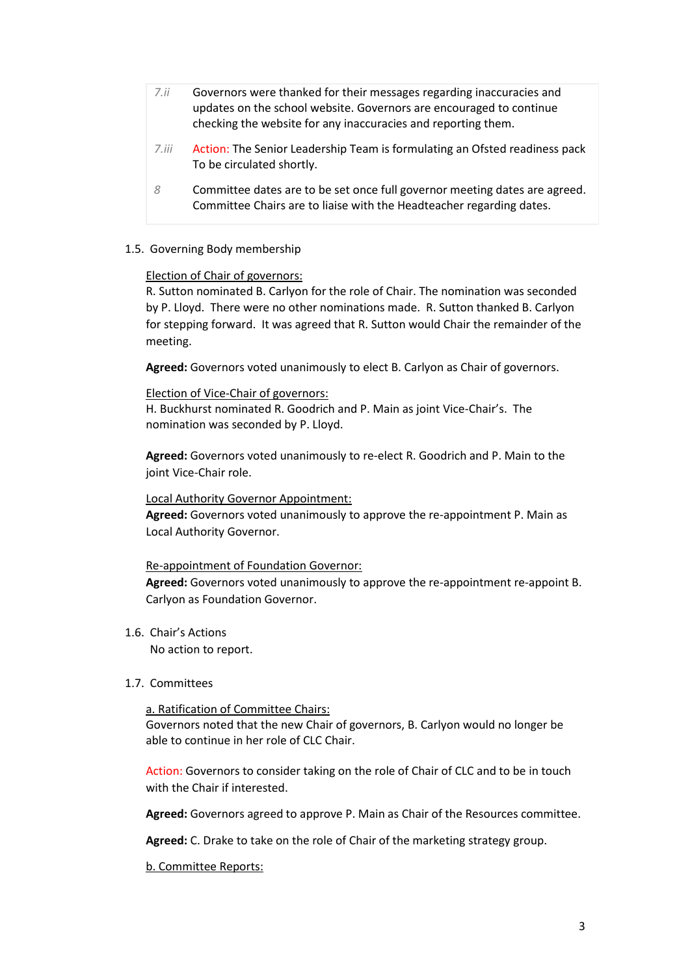- *7.ii* Governors were thanked for their messages regarding inaccuracies and updates on the school website. Governors are encouraged to continue checking the website for any inaccuracies and reporting them.
- *7.iii* Action: The Senior Leadership Team is formulating an Ofsted readiness pack To be circulated shortly.
- *8* Committee dates are to be set once full governor meeting dates are agreed. Committee Chairs are to liaise with the Headteacher regarding dates.

### 1.5. Governing Body membership

#### Election of Chair of governors:

R. Sutton nominated B. Carlyon for the role of Chair. The nomination was seconded by P. Lloyd. There were no other nominations made. R. Sutton thanked B. Carlyon for stepping forward. It was agreed that R. Sutton would Chair the remainder of the meeting.

**Agreed:** Governors voted unanimously to elect B. Carlyon as Chair of governors.

## Election of Vice-Chair of governors:

H. Buckhurst nominated R. Goodrich and P. Main as joint Vice-Chair's. The nomination was seconded by P. Lloyd.

**Agreed:** Governors voted unanimously to re-elect R. Goodrich and P. Main to the joint Vice-Chair role.

#### Local Authority Governor Appointment:

**Agreed:** Governors voted unanimously to approve the re-appointment P. Main as Local Authority Governor.

#### Re-appointment of Foundation Governor:

**Agreed:** Governors voted unanimously to approve the re-appointment re-appoint B. Carlyon as Foundation Governor.

#### 1.6. Chair's Actions

No action to report.

#### 1.7. Committees

a. Ratification of Committee Chairs:

Governors noted that the new Chair of governors, B. Carlyon would no longer be able to continue in her role of CLC Chair.

Action: Governors to consider taking on the role of Chair of CLC and to be in touch with the Chair if interested.

**Agreed:** Governors agreed to approve P. Main as Chair of the Resources committee.

**Agreed:** C. Drake to take on the role of Chair of the marketing strategy group.

b. Committee Reports: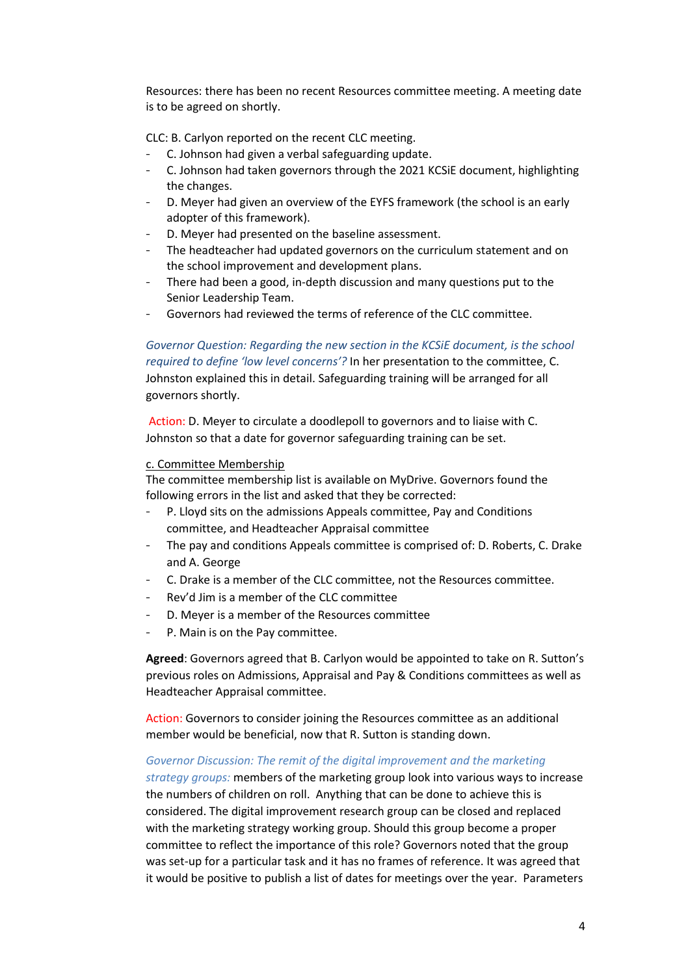Resources: there has been no recent Resources committee meeting. A meeting date is to be agreed on shortly.

CLC: B. Carlyon reported on the recent CLC meeting.

- C. Johnson had given a verbal safeguarding update.
- C. Johnson had taken governors through the 2021 KCSiE document, highlighting the changes.
- D. Meyer had given an overview of the EYFS framework (the school is an early adopter of this framework).
- D. Meyer had presented on the baseline assessment.
- The headteacher had updated governors on the curriculum statement and on the school improvement and development plans.
- There had been a good, in-depth discussion and many questions put to the Senior Leadership Team.
- Governors had reviewed the terms of reference of the CLC committee.

### *Governor Question: Regarding the new section in the KCSiE document, is the school required to define 'low level concerns'?* In her presentation to the committee, C.

Johnston explained this in detail. Safeguarding training will be arranged for all governors shortly.

Action: D. Meyer to circulate a doodlepoll to governors and to liaise with C. Johnston so that a date for governor safeguarding training can be set.

#### c. Committee Membership

The committee membership list is available on MyDrive. Governors found the following errors in the list and asked that they be corrected:

- P. Lloyd sits on the admissions Appeals committee, Pay and Conditions committee, and Headteacher Appraisal committee
- The pay and conditions Appeals committee is comprised of: D. Roberts, C. Drake and A. George
- C. Drake is a member of the CLC committee, not the Resources committee.
- Rev'd Jim is a member of the CLC committee
- D. Meyer is a member of the Resources committee
- P. Main is on the Pay committee.

**Agreed**: Governors agreed that B. Carlyon would be appointed to take on R. Sutton's previous roles on Admissions, Appraisal and Pay & Conditions committees as well as Headteacher Appraisal committee.

Action: Governors to consider joining the Resources committee as an additional member would be beneficial, now that R. Sutton is standing down.

#### *Governor Discussion: The remit of the digital improvement and the marketing*

*strategy groups:* members of the marketing group look into various ways to increase the numbers of children on roll. Anything that can be done to achieve this is considered. The digital improvement research group can be closed and replaced with the marketing strategy working group. Should this group become a proper committee to reflect the importance of this role? Governors noted that the group was set-up for a particular task and it has no frames of reference. It was agreed that it would be positive to publish a list of dates for meetings over the year. Parameters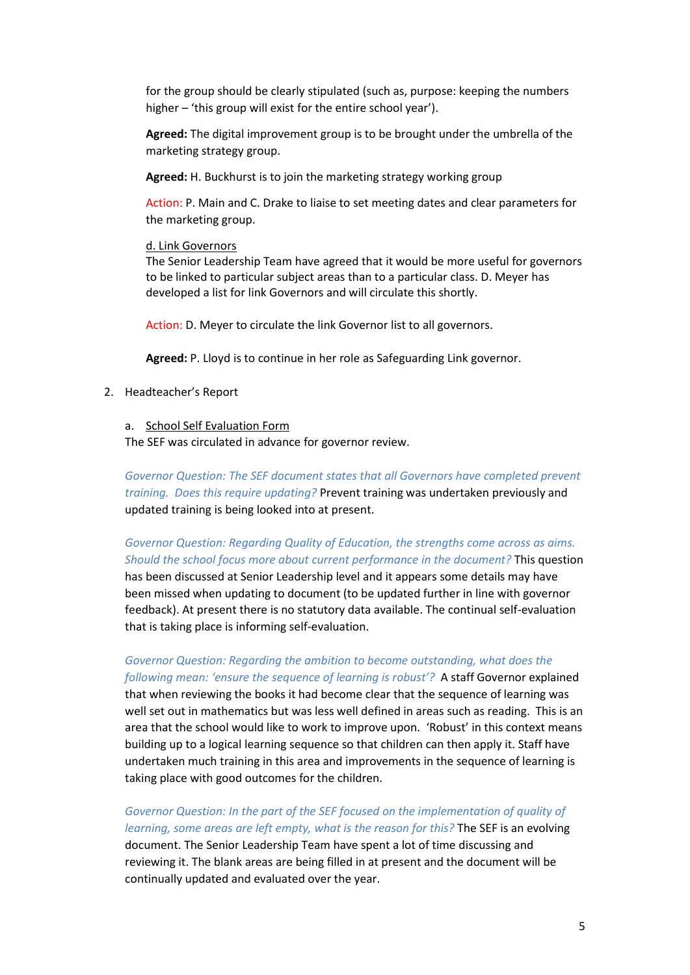for the group should be clearly stipulated (such as, purpose: keeping the numbers higher – 'this group will exist for the entire school year').

**Agreed:** The digital improvement group is to be brought under the umbrella of the marketing strategy group.

**Agreed:** H. Buckhurst is to join the marketing strategy working group

Action: P. Main and C. Drake to liaise to set meeting dates and clear parameters for the marketing group.

#### d. Link Governors

The Senior Leadership Team have agreed that it would be more useful for governors to be linked to particular subject areas than to a particular class. D. Meyer has developed a list for link Governors and will circulate this shortly.

Action: D. Meyer to circulate the link Governor list to all governors.

**Agreed:** P. Lloyd is to continue in her role as Safeguarding Link governor.

### 2. Headteacher's Report

#### a. School Self Evaluation Form

The SEF was circulated in advance for governor review.

*Governor Question: The SEF document states that all Governors have completed prevent training. Does this require updating?* Prevent training was undertaken previously and updated training is being looked into at present.

## *Governor Question: Regarding Quality of Education, the strengths come across as aims. Should the school focus more about current performance in the document?* This question

has been discussed at Senior Leadership level and it appears some details may have been missed when updating to document (to be updated further in line with governor feedback). At present there is no statutory data available. The continual self-evaluation that is taking place is informing self-evaluation.

## *Governor Question: Regarding the ambition to become outstanding, what does the following mean: 'ensure the sequence of learning is robust'?* A staff Governor explained

that when reviewing the books it had become clear that the sequence of learning was well set out in mathematics but was less well defined in areas such as reading. This is an area that the school would like to work to improve upon. 'Robust' in this context means building up to a logical learning sequence so that children can then apply it. Staff have undertaken much training in this area and improvements in the sequence of learning is taking place with good outcomes for the children.

### *Governor Question: In the part of the SEF focused on the implementation of quality of*

*learning, some areas are left empty, what is the reason for this?* The SEF is an evolving document. The Senior Leadership Team have spent a lot of time discussing and reviewing it. The blank areas are being filled in at present and the document will be continually updated and evaluated over the year.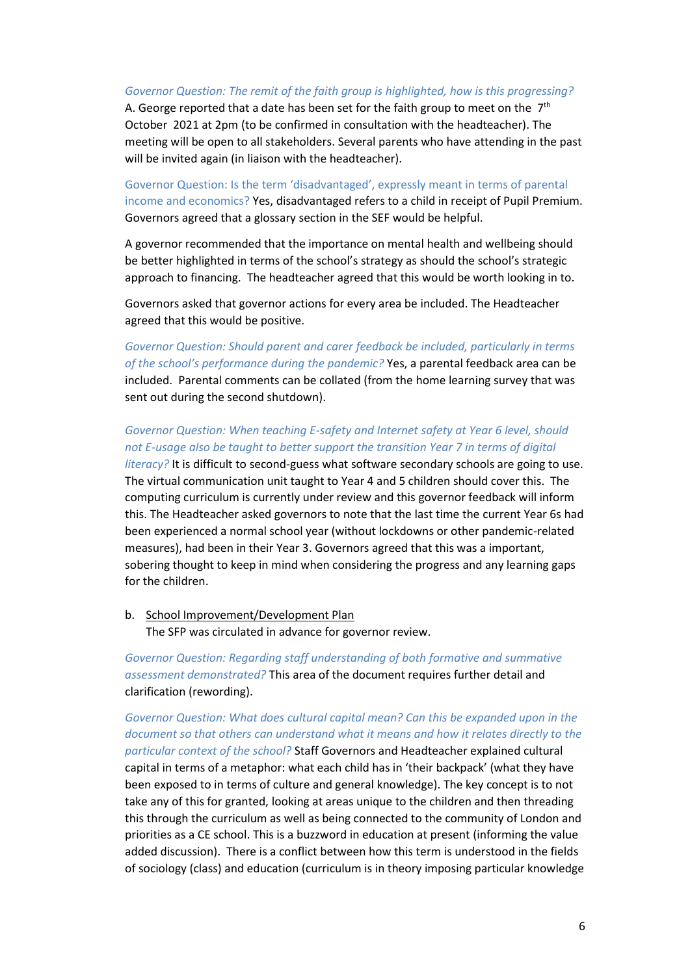#### *Governor Question: The remit of the faith group is highlighted, how is this progressing?*

A. George reported that a date has been set for the faith group to meet on the  $7<sup>th</sup>$ October 2021 at 2pm (to be confirmed in consultation with the headteacher). The meeting will be open to all stakeholders. Several parents who have attending in the past will be invited again (in liaison with the headteacher).

Governor Question: Is the term 'disadvantaged', expressly meant in terms of parental income and economics? Yes, disadvantaged refers to a child in receipt of Pupil Premium. Governors agreed that a glossary section in the SEF would be helpful.

A governor recommended that the importance on mental health and wellbeing should be better highlighted in terms of the school's strategy as should the school's strategic approach to financing. The headteacher agreed that this would be worth looking in to.

Governors asked that governor actions for every area be included. The Headteacher agreed that this would be positive.

*Governor Question: Should parent and carer feedback be included, particularly in terms of the school's performance during the pandemic?* Yes, a parental feedback area can be included. Parental comments can be collated (from the home learning survey that was sent out during the second shutdown).

## *Governor Question: When teaching E-safety and Internet safety at Year 6 level, should not E-usage also be taught to better support the transition Year 7 in terms of digital*

*literacy?* It is difficult to second-guess what software secondary schools are going to use. The virtual communication unit taught to Year 4 and 5 children should cover this. The computing curriculum is currently under review and this governor feedback will inform this. The Headteacher asked governors to note that the last time the current Year 6s had been experienced a normal school year (without lockdowns or other pandemic-related measures), had been in their Year 3. Governors agreed that this was a important, sobering thought to keep in mind when considering the progress and any learning gaps for the children.

b. School Improvement/Development Plan The SFP was circulated in advance for governor review.

*Governor Question: Regarding staff understanding of both formative and summative assessment demonstrated?* This area of the document requires further detail and clarification (rewording).

*Governor Question: What does cultural capital mean? Can this be expanded upon in the document so that others can understand what it means and how it relates directly to the particular context of the school?* Staff Governors and Headteacher explained cultural capital in terms of a metaphor: what each child has in 'their backpack' (what they have been exposed to in terms of culture and general knowledge). The key concept is to not take any of this for granted, looking at areas unique to the children and then threading this through the curriculum as well as being connected to the community of London and priorities as a CE school. This is a buzzword in education at present (informing the value added discussion). There is a conflict between how this term is understood in the fields of sociology (class) and education (curriculum is in theory imposing particular knowledge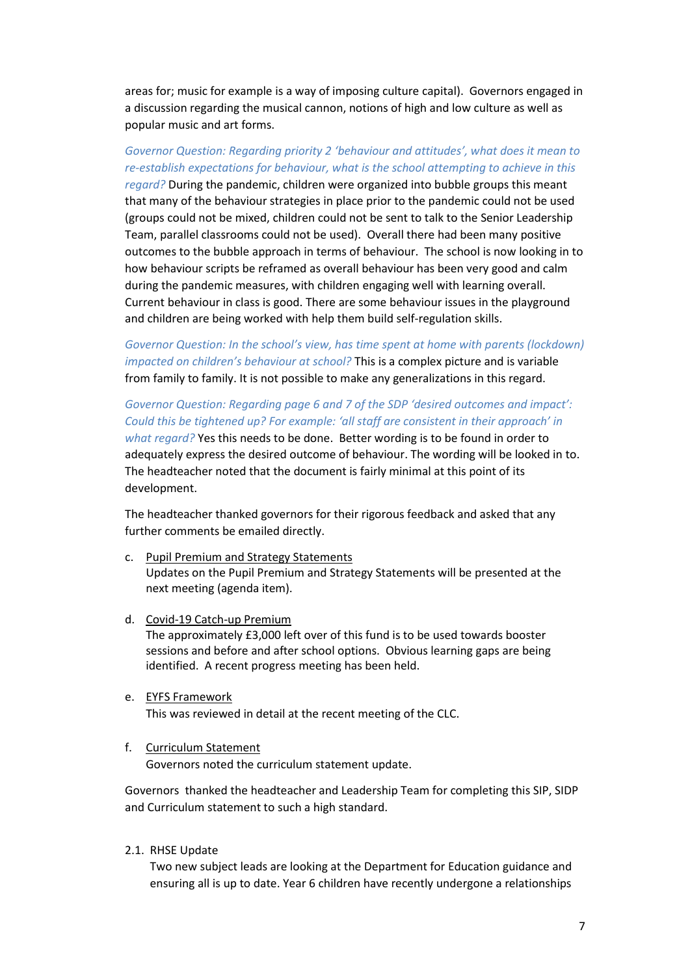areas for; music for example is a way of imposing culture capital). Governors engaged in a discussion regarding the musical cannon, notions of high and low culture as well as popular music and art forms.

### *Governor Question: Regarding priority 2 'behaviour and attitudes', what does it mean to re-establish expectations for behaviour, what is the school attempting to achieve in this*

*regard?* During the pandemic, children were organized into bubble groups this meant that many of the behaviour strategies in place prior to the pandemic could not be used (groups could not be mixed, children could not be sent to talk to the Senior Leadership Team, parallel classrooms could not be used). Overall there had been many positive outcomes to the bubble approach in terms of behaviour. The school is now looking in to how behaviour scripts be reframed as overall behaviour has been very good and calm during the pandemic measures, with children engaging well with learning overall. Current behaviour in class is good. There are some behaviour issues in the playground and children are being worked with help them build self-regulation skills.

*Governor Question: In the school's view, has time spent at home with parents (lockdown) impacted on children's behaviour at school?* This is a complex picture and is variable from family to family. It is not possible to make any generalizations in this regard.

*Governor Question: Regarding page 6 and 7 of the SDP 'desired outcomes and impact': Could this be tightened up? For example: 'all staff are consistent in their approach' in what regard?* Yes this needs to be done. Better wording is to be found in order to adequately express the desired outcome of behaviour. The wording will be looked in to. The headteacher noted that the document is fairly minimal at this point of its development.

The headteacher thanked governors for their rigorous feedback and asked that any further comments be emailed directly.

- c. Pupil Premium and Strategy Statements Updates on the Pupil Premium and Strategy Statements will be presented at the next meeting (agenda item).
- d. Covid-19 Catch-up Premium The approximately £3,000 left over of this fund is to be used towards booster sessions and before and after school options. Obvious learning gaps are being identified. A recent progress meeting has been held.
- e. EYFS Framework

This was reviewed in detail at the recent meeting of the CLC.

### f. Curriculum Statement

Governors noted the curriculum statement update.

Governors thanked the headteacher and Leadership Team for completing this SIP, SIDP and Curriculum statement to such a high standard.

2.1. RHSE Update

Two new subject leads are looking at the Department for Education guidance and ensuring all is up to date. Year 6 children have recently undergone a relationships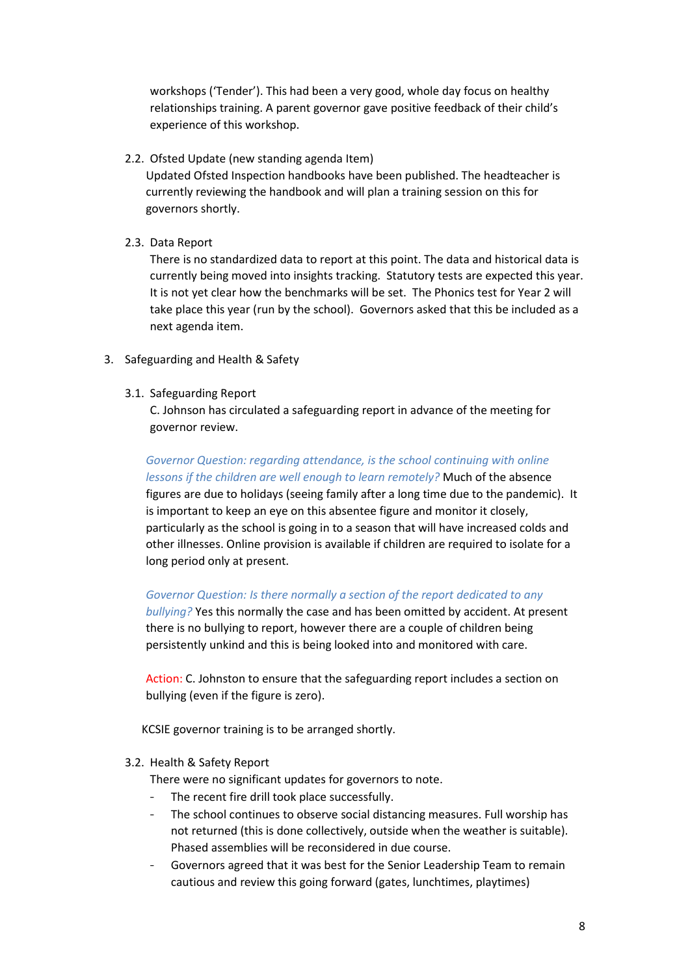workshops ('Tender'). This had been a very good, whole day focus on healthy relationships training. A parent governor gave positive feedback of their child's experience of this workshop.

2.2. Ofsted Update (new standing agenda Item)

Updated Ofsted Inspection handbooks have been published. The headteacher is currently reviewing the handbook and will plan a training session on this for governors shortly.

2.3. Data Report

There is no standardized data to report at this point. The data and historical data is currently being moved into insights tracking. Statutory tests are expected this year. It is not yet clear how the benchmarks will be set. The Phonics test for Year 2 will take place this year (run by the school). Governors asked that this be included as a next agenda item.

3. Safeguarding and Health & Safety

long period only at present.

3.1. Safeguarding Report

C. Johnson has circulated a safeguarding report in advance of the meeting for governor review.

*Governor Question: regarding attendance, is the school continuing with online lessons if the children are well enough to learn remotely?* Much of the absence figures are due to holidays (seeing family after a long time due to the pandemic). It is important to keep an eye on this absentee figure and monitor it closely, particularly as the school is going in to a season that will have increased colds and other illnesses. Online provision is available if children are required to isolate for a

## *Governor Question: Is there normally a section of the report dedicated to any*

*bullying?* Yes this normally the case and has been omitted by accident. At present there is no bullying to report, however there are a couple of children being persistently unkind and this is being looked into and monitored with care.

Action: C. Johnston to ensure that the safeguarding report includes a section on bullying (even if the figure is zero).

KCSIE governor training is to be arranged shortly.

### 3.2. Health & Safety Report

There were no significant updates for governors to note.

- The recent fire drill took place successfully.
- The school continues to observe social distancing measures. Full worship has not returned (this is done collectively, outside when the weather is suitable). Phased assemblies will be reconsidered in due course.
- Governors agreed that it was best for the Senior Leadership Team to remain cautious and review this going forward (gates, lunchtimes, playtimes)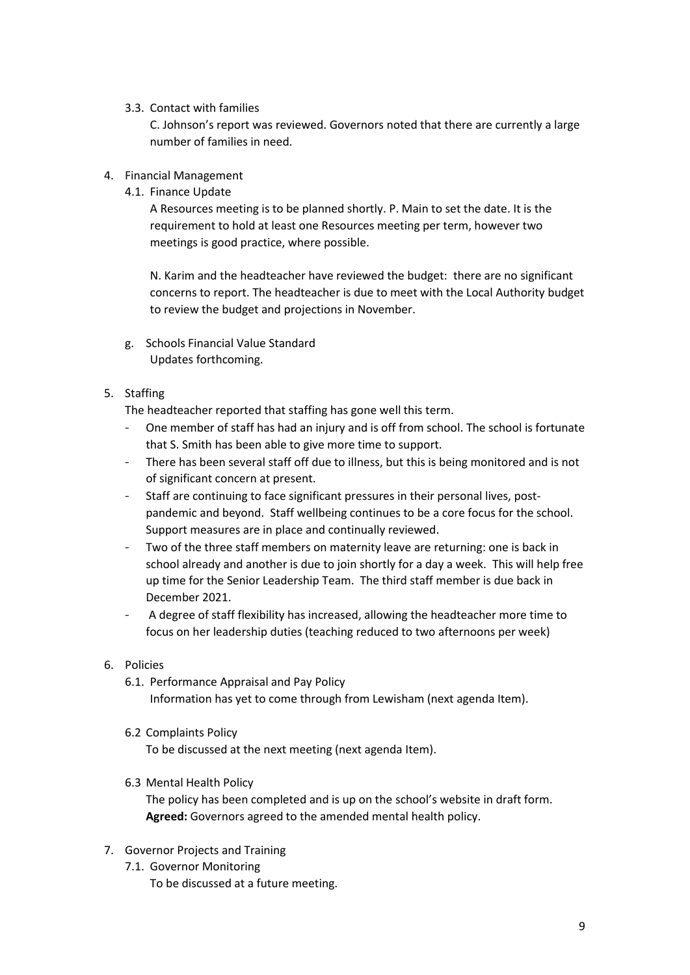## 3.3. Contact with families

C. Johnson's report was reviewed. Governors noted that there are currently a large number of families in need.

## 4. Financial Management

4.1. Finance Update

A Resources meeting is to be planned shortly. P. Main to set the date. It is the requirement to hold at least one Resources meeting per term, however two meetings is good practice, where possible.

N. Karim and the headteacher have reviewed the budget: there are no significant concerns to report. The headteacher is due to meet with the Local Authority budget to review the budget and projections in November.

g. Schools Financial Value Standard Updates forthcoming.

## 5. Staffing

The headteacher reported that staffing has gone well this term.

- One member of staff has had an injury and is off from school. The school is fortunate that S. Smith has been able to give more time to support.
- There has been several staff off due to illness, but this is being monitored and is not of significant concern at present.
- Staff are continuing to face significant pressures in their personal lives, postpandemic and beyond. Staff wellbeing continues to be a core focus for the school. Support measures are in place and continually reviewed.
- Two of the three staff members on maternity leave are returning: one is back in school already and another is due to join shortly for a day a week. This will help free up time for the Senior Leadership Team. The third staff member is due back in December 2021.
- A degree of staff flexibility has increased, allowing the headteacher more time to focus on her leadership duties (teaching reduced to two afternoons per week)

## 6. Policies

6.1. Performance Appraisal and Pay Policy

Information has yet to come through from Lewisham (next agenda Item).

6.2 Complaints Policy

To be discussed at the next meeting (next agenda Item).

6.3 Mental Health Policy

The policy has been completed and is up on the school's website in draft form. **Agreed:** Governors agreed to the amended mental health policy.

- 7. Governor Projects and Training
	- 7.1. Governor Monitoring To be discussed at a future meeting.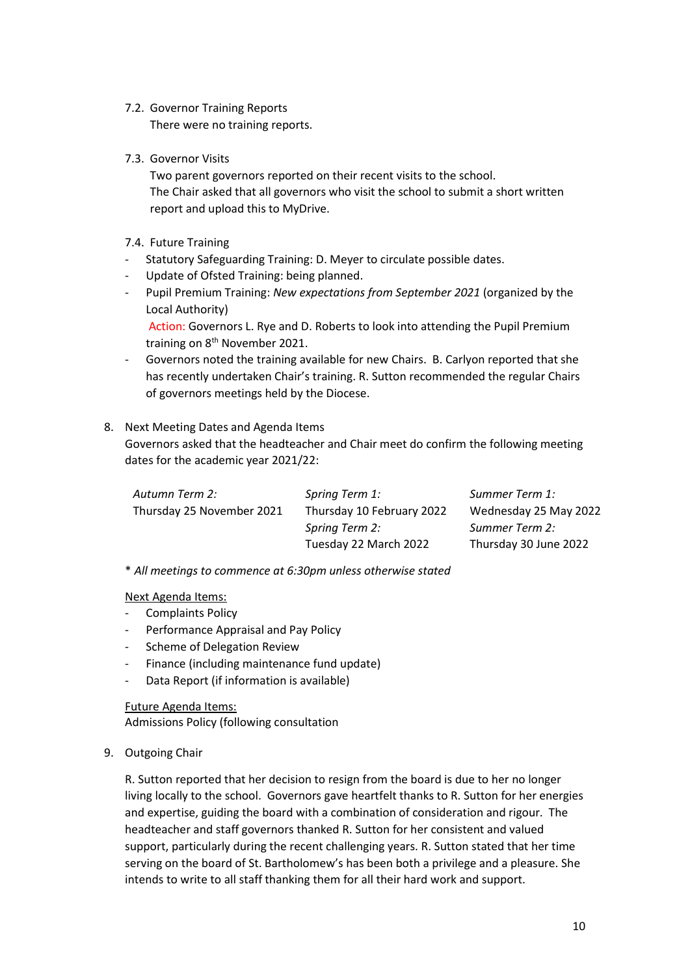- 7.2. Governor Training Reports There were no training reports.
- 7.3. Governor Visits

Two parent governors reported on their recent visits to the school. The Chair asked that all governors who visit the school to submit a short written report and upload this to MyDrive.

## 7.4. Future Training

- Statutory Safeguarding Training: D. Meyer to circulate possible dates.
- Update of Ofsted Training: being planned.
- Pupil Premium Training: *New expectations from September 2021* (organized by the Local Authority)

Action: Governors L. Rye and D. Roberts to look into attending the Pupil Premium training on 8<sup>th</sup> November 2021.

- Governors noted the training available for new Chairs. B. Carlyon reported that she has recently undertaken Chair's training. R. Sutton recommended the regular Chairs of governors meetings held by the Diocese.

## 8. Next Meeting Dates and Agenda Items Governors asked that the headteacher and Chair meet do confirm the following meeting dates for the academic year 2021/22:

| Autumn Term 2:            | Spring Term 1:            | Summer Term 1:        |
|---------------------------|---------------------------|-----------------------|
| Thursday 25 November 2021 | Thursday 10 February 2022 | Wednesday 25 May 2022 |
|                           | Spring Term 2:            | Summer Term 2:        |
|                           | Tuesday 22 March 2022     | Thursday 30 June 2022 |

\* *All meetings to commence at 6:30pm unless otherwise stated*

Next Agenda Items:

- Complaints Policy
- Performance Appraisal and Pay Policy
- Scheme of Delegation Review
- Finance (including maintenance fund update)
- Data Report (if information is available)

Future Agenda Items:

Admissions Policy (following consultation

## 9. Outgoing Chair

R. Sutton reported that her decision to resign from the board is due to her no longer living locally to the school. Governors gave heartfelt thanks to R. Sutton for her energies and expertise, guiding the board with a combination of consideration and rigour. The headteacher and staff governors thanked R. Sutton for her consistent and valued support, particularly during the recent challenging years. R. Sutton stated that her time serving on the board of St. Bartholomew's has been both a privilege and a pleasure. She intends to write to all staff thanking them for all their hard work and support.